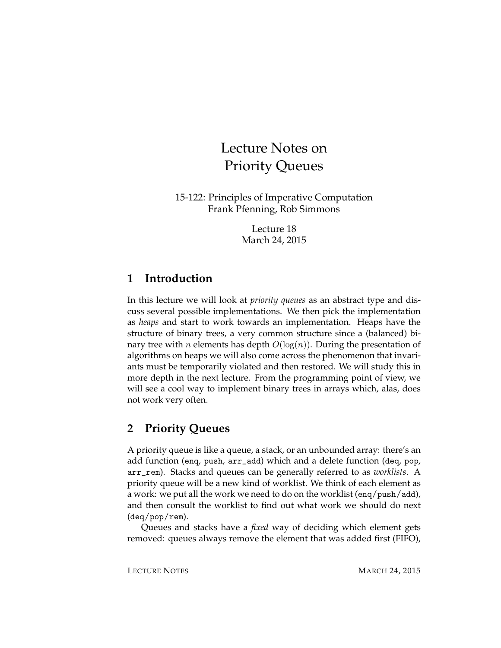# Lecture Notes on Priority Queues

15-122: Principles of Imperative Computation Frank Pfenning, Rob Simmons

> Lecture 18 March 24, 2015

## **1 Introduction**

In this lecture we will look at *priority queues* as an abstract type and discuss several possible implementations. We then pick the implementation as *heaps* and start to work towards an implementation. Heaps have the structure of binary trees, a very common structure since a (balanced) binary tree with *n* elements has depth  $O(log(n))$ . During the presentation of algorithms on heaps we will also come across the phenomenon that invariants must be temporarily violated and then restored. We will study this in more depth in the next lecture. From the programming point of view, we will see a cool way to implement binary trees in arrays which, alas, does not work very often.

# **2 Priority Queues**

A priority queue is like a queue, a stack, or an unbounded array: there's an add function (enq, push, arr\_add) which and a delete function (deq, pop, arr\_rem). Stacks and queues can be generally referred to as *worklists*. A priority queue will be a new kind of worklist. We think of each element as a work: we put all the work we need to do on the worklist (enq/push/add), and then consult the worklist to find out what work we should do next (deq/pop/rem).

Queues and stacks have a *fixed* way of deciding which element gets removed: queues always remove the element that was added first (FIFO),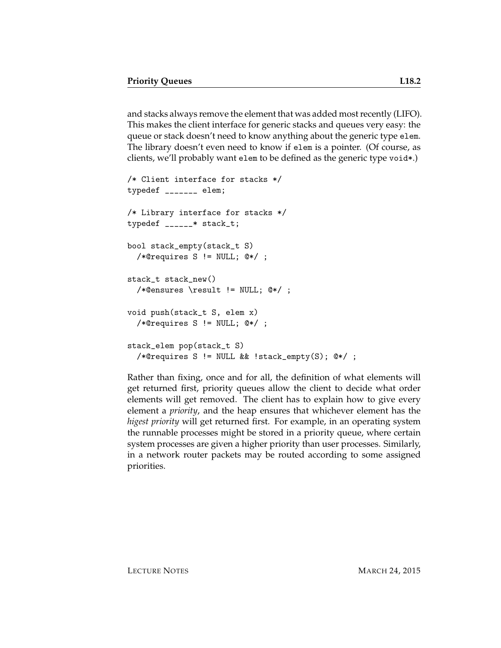and stacks always remove the element that was added most recently (LIFO). This makes the client interface for generic stacks and queues very easy: the queue or stack doesn't need to know anything about the generic type elem. The library doesn't even need to know if elem is a pointer. (Of course, as clients, we'll probably want elem to be defined as the generic type void\*.)

```
/* Client interface for stacks */
typedef _______ elem;
/* Library interface for stacks */
typedef ______* stack_t;
bool stack_empty(stack_t S)
  /*@requires S != NULL; @*/ ;
stack_t stack_new()
  /*@ensures \result != NULL; @*/ ;
void push(stack_t S, elem x)
  /*@requires S != NULL; @*/ ;
stack_elem pop(stack_t S)
  /*@requires S != NULL && !stack_empty(S); @*/ ;
```
Rather than fixing, once and for all, the definition of what elements will get returned first, priority queues allow the client to decide what order elements will get removed. The client has to explain how to give every element a *priority*, and the heap ensures that whichever element has the *higest priority* will get returned first. For example, in an operating system the runnable processes might be stored in a priority queue, where certain system processes are given a higher priority than user processes. Similarly, in a network router packets may be routed according to some assigned priorities.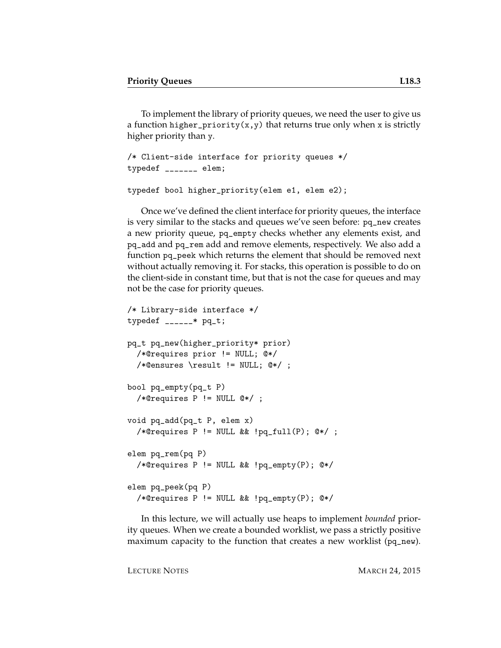To implement the library of priority queues, we need the user to give us a function higher\_priority(x,y) that returns true only when x is strictly higher priority than y.

```
/* Client-side interface for priority queues */
typedef _______ elem;
```

```
typedef bool higher_priority(elem e1, elem e2);
```
Once we've defined the client interface for priority queues, the interface is very similar to the stacks and queues we've seen before: pq\_new creates a new priority queue, pq\_empty checks whether any elements exist, and pq\_add and pq\_rem add and remove elements, respectively. We also add a function pq\_peek which returns the element that should be removed next without actually removing it. For stacks, this operation is possible to do on the client-side in constant time, but that is not the case for queues and may not be the case for priority queues.

```
/* Library-side interface */
typedef ______* pq_t;
pq_t pq_new(higher_priority* prior)
  /*@requires prior != NULL; @*/
  /*@ensures \result != NULL; @*/ ;
bool pq_empty(pq_t P)
  /*@requires P != NULL @*/ ;
void pq_add(pq_t P, elem x)
  /*@requires P != NULL && !pq_full(P); @*/ ;
elem pq_rem(pq P)
  /*@requires P != NULL && !pq_empty(P); @*/
elem pq_peek(pq P)
  /*@requires P != NULL && !pq_empty(P); @*/
```
In this lecture, we will actually use heaps to implement *bounded* priority queues. When we create a bounded worklist, we pass a strictly positive maximum capacity to the function that creates a new worklist (pq\_new).

LECTURE NOTES MARCH 24, 2015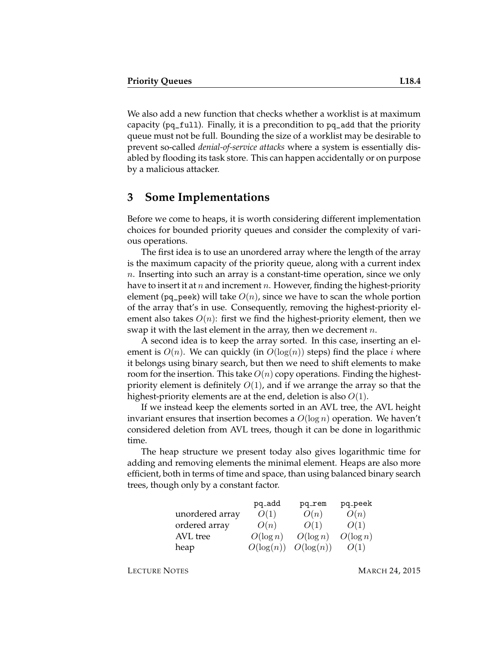We also add a new function that checks whether a worklist is at maximum capacity ( $pq_full$ ). Finally, it is a precondition to  $pq_g$  add that the priority queue must not be full. Bounding the size of a worklist may be desirable to prevent so-called *denial-of-service attacks* where a system is essentially disabled by flooding its task store. This can happen accidentally or on purpose by a malicious attacker.

#### **3 Some Implementations**

Before we come to heaps, it is worth considering different implementation choices for bounded priority queues and consider the complexity of various operations.

The first idea is to use an unordered array where the length of the array is the maximum capacity of the priority queue, along with a current index n. Inserting into such an array is a constant-time operation, since we only have to insert it at n and increment n. However, finding the highest-priority element (pq\_peek) will take  $O(n)$ , since we have to scan the whole portion of the array that's in use. Consequently, removing the highest-priority element also takes  $O(n)$ : first we find the highest-priority element, then we swap it with the last element in the array, then we decrement  $n$ .

A second idea is to keep the array sorted. In this case, inserting an element is  $O(n)$ . We can quickly (in  $O(\log(n))$  steps) find the place i where it belongs using binary search, but then we need to shift elements to make room for the insertion. This take  $O(n)$  copy operations. Finding the highestpriority element is definitely  $O(1)$ , and if we arrange the array so that the highest-priority elements are at the end, deletion is also  $O(1)$ .

If we instead keep the elements sorted in an AVL tree, the AVL height invariant ensures that insertion becomes a  $O(\log n)$  operation. We haven't considered deletion from AVL trees, though it can be done in logarithmic time.

The heap structure we present today also gives logarithmic time for adding and removing elements the minimal element. Heaps are also more efficient, both in terms of time and space, than using balanced binary search trees, though only by a constant factor.

|                 | pq_add       | pq_rem       | pq_peek     |
|-----------------|--------------|--------------|-------------|
| unordered array | O(1)         | O(n)         | O(n)        |
| ordered array   | O(n)         | O(1)         | O(1)        |
| AVL tree        | $O(\log n)$  | $O(\log n)$  | $O(\log n)$ |
| heap            | $O(\log(n))$ | $O(\log(n))$ | O(1)        |

LECTURE NOTES MARCH 24, 2015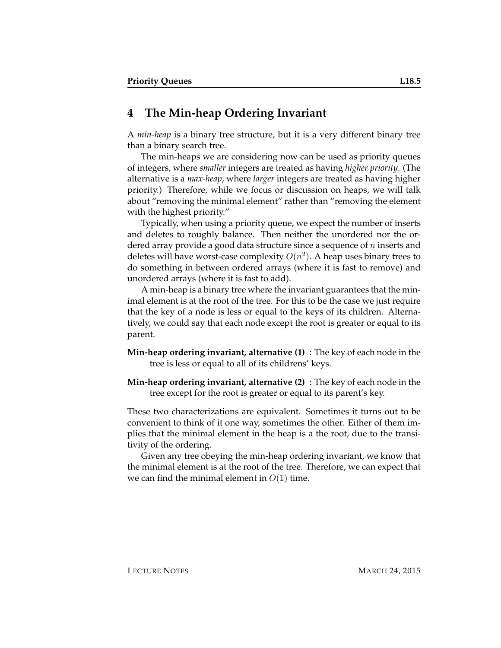# **4 The Min-heap Ordering Invariant**

A *min-heap* is a binary tree structure, but it is a very different binary tree than a binary search tree.

The min-heaps we are considering now can be used as priority queues of integers, where *smaller* integers are treated as having *higher priority*. (The alternative is a *max-heap*, where *larger* integers are treated as having higher priority.) Therefore, while we focus or discussion on heaps, we will talk about "removing the minimal element" rather than "removing the element with the highest priority."

Typically, when using a priority queue, we expect the number of inserts and deletes to roughly balance. Then neither the unordered nor the ordered array provide a good data structure since a sequence of  $n$  inserts and deletes will have worst-case complexity  $O(n^2)$ . A heap uses binary trees to do something in between ordered arrays (where it is fast to remove) and unordered arrays (where it is fast to add).

A min-heap is a binary tree where the invariant guarantees that the minimal element is at the root of the tree. For this to be the case we just require that the key of a node is less or equal to the keys of its children. Alternatively, we could say that each node except the root is greater or equal to its parent.

- **Min-heap ordering invariant, alternative (1)** : The key of each node in the tree is less or equal to all of its childrens' keys.
- **Min-heap ordering invariant, alternative (2)** : The key of each node in the tree except for the root is greater or equal to its parent's key.

These two characterizations are equivalent. Sometimes it turns out to be convenient to think of it one way, sometimes the other. Either of them implies that the minimal element in the heap is a the root, due to the transitivity of the ordering.

Given any tree obeying the min-heap ordering invariant, we know that the minimal element is at the root of the tree. Therefore, we can expect that we can find the minimal element in  $O(1)$  time.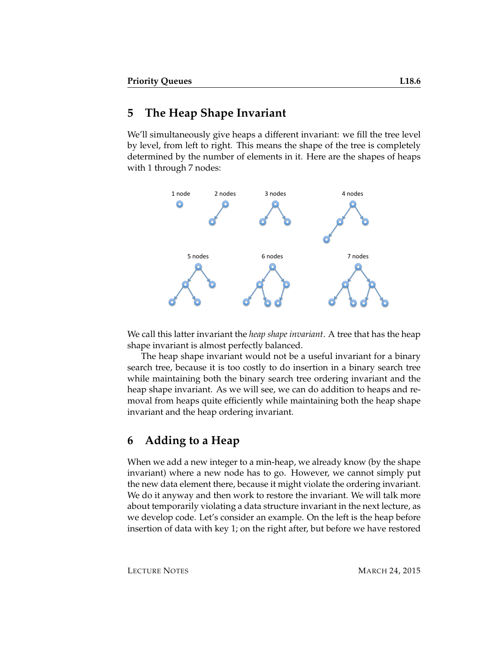#### **5 The Heap Shape Invariant**

We'll simultaneously give heaps a different invariant: we fill the tree level by level, from left to right. This means the shape of the tree is completely determined by the number of elements in it. Here are the shapes of heaps with 1 through 7 nodes:



We call this latter invariant the *heap shape invariant*. A tree that has the heap shape invariant is almost perfectly balanced.

The heap shape invariant would not be a useful invariant for a binary search tree, because it is too costly to do insertion in a binary search tree while maintaining both the binary search tree ordering invariant and the heap shape invariant. As we will see, we can do addition to heaps and removal from heaps quite efficiently while maintaining both the heap shape invariant and the heap ordering invariant.

### **6 Adding to a Heap**

When we add a new integer to a min-heap, we already know (by the shape invariant) where a new node has to go. However, we cannot simply put the new data element there, because it might violate the ordering invariant. We do it anyway and then work to restore the invariant. We will talk more about temporarily violating a data structure invariant in the next lecture, as we develop code. Let's consider an example. On the left is the heap before insertion of data with key 1; on the right after, but before we have restored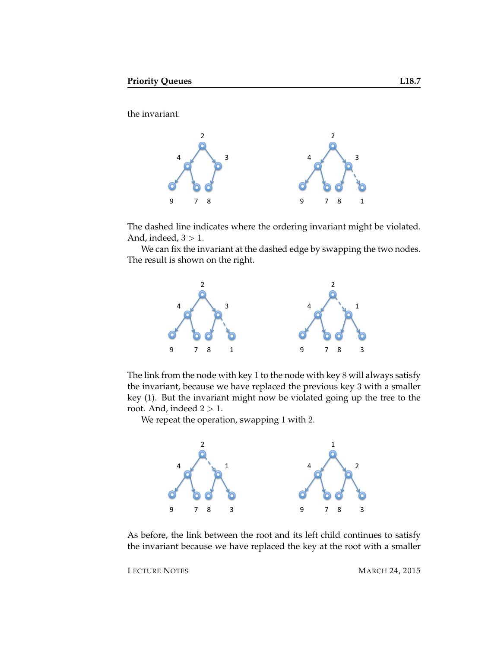the invariant.



The dashed line indicates where the ordering invariant might be violated. And, indeed,  $3 > 1$ .

We can fix the invariant at the dashed edge by swapping the two nodes. The result is shown on the right.



The link from the node with key 1 to the node with key 8 will always satisfy the invariant, because we have replaced the previous key 3 with a smaller key (1). But the invariant might now be violated going up the tree to the root. And, indeed  $2 > 1$ .

We repeat the operation, swapping 1 with 2.



As before, the link between the root and its left child continues to satisfy the invariant because we have replaced the key at the root with a smaller

LECTURE NOTES MARCH 24, 2015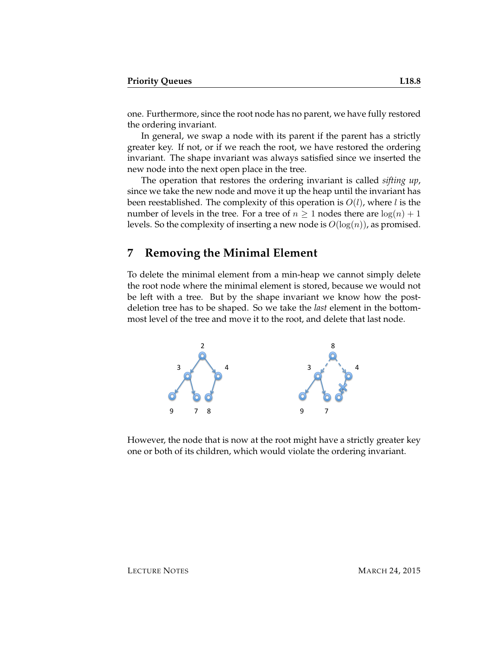one. Furthermore, since the root node has no parent, we have fully restored the ordering invariant.

In general, we swap a node with its parent if the parent has a strictly greater key. If not, or if we reach the root, we have restored the ordering invariant. The shape invariant was always satisfied since we inserted the new node into the next open place in the tree.

The operation that restores the ordering invariant is called *sifting up*, since we take the new node and move it up the heap until the invariant has been reestablished. The complexity of this operation is  $O(l)$ , where l is the number of levels in the tree. For a tree of  $n \geq 1$  nodes there are  $log(n) + 1$ levels. So the complexity of inserting a new node is  $O(log(n))$ , as promised.

#### **7 Removing the Minimal Element**

To delete the minimal element from a min-heap we cannot simply delete the root node where the minimal element is stored, because we would not be left with a tree. But by the shape invariant we know how the postdeletion tree has to be shaped. So we take the *last* element in the bottommost level of the tree and move it to the root, and delete that last node.



However, the node that is now at the root might have a strictly greater key one or both of its children, which would violate the ordering invariant.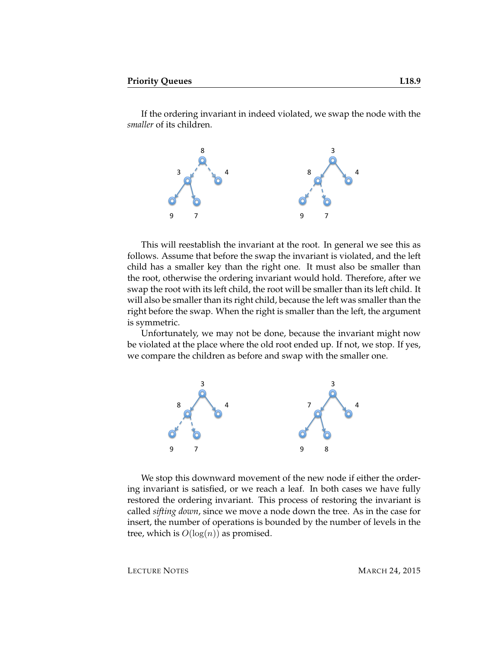If the ordering invariant in indeed violated, we swap the node with the *smaller* of its children.



This will reestablish the invariant at the root. In general we see this as follows. Assume that before the swap the invariant is violated, and the left child has a smaller key than the right one. It must also be smaller than the root, otherwise the ordering invariant would hold. Therefore, after we swap the root with its left child, the root will be smaller than its left child. It will also be smaller than its right child, because the left was smaller than the right before the swap. When the right is smaller than the left, the argument is symmetric.

Unfortunately, we may not be done, because the invariant might now be violated at the place where the old root ended up. If not, we stop. If yes, we compare the children as before and swap with the smaller one.



We stop this downward movement of the new node if either the ordering invariant is satisfied, or we reach a leaf. In both cases we have fully restored the ordering invariant. This process of restoring the invariant is called *sifting down*, since we move a node down the tree. As in the case for insert, the number of operations is bounded by the number of levels in the tree, which is  $O(log(n))$  as promised.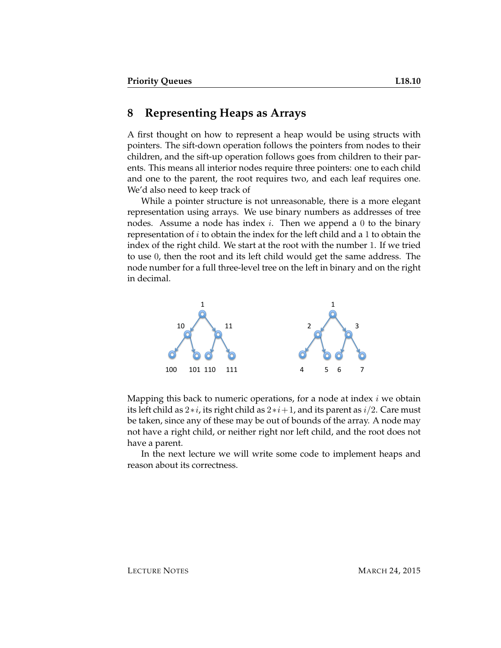#### **8 Representing Heaps as Arrays**

A first thought on how to represent a heap would be using structs with pointers. The sift-down operation follows the pointers from nodes to their children, and the sift-up operation follows goes from children to their parents. This means all interior nodes require three pointers: one to each child and one to the parent, the root requires two, and each leaf requires one. We'd also need to keep track of

While a pointer structure is not unreasonable, there is a more elegant representation using arrays. We use binary numbers as addresses of tree nodes. Assume a node has index  $i$ . Then we append a 0 to the binary representation of  $i$  to obtain the index for the left child and a 1 to obtain the index of the right child. We start at the root with the number 1. If we tried to use 0, then the root and its left child would get the same address. The node number for a full three-level tree on the left in binary and on the right in decimal.



Mapping this back to numeric operations, for a node at index  $i$  we obtain its left child as  $2*i$ , its right child as  $2*i+1$ , and its parent as  $i/2$ . Care must be taken, since any of these may be out of bounds of the array. A node may not have a right child, or neither right nor left child, and the root does not have a parent.

In the next lecture we will write some code to implement heaps and reason about its correctness.